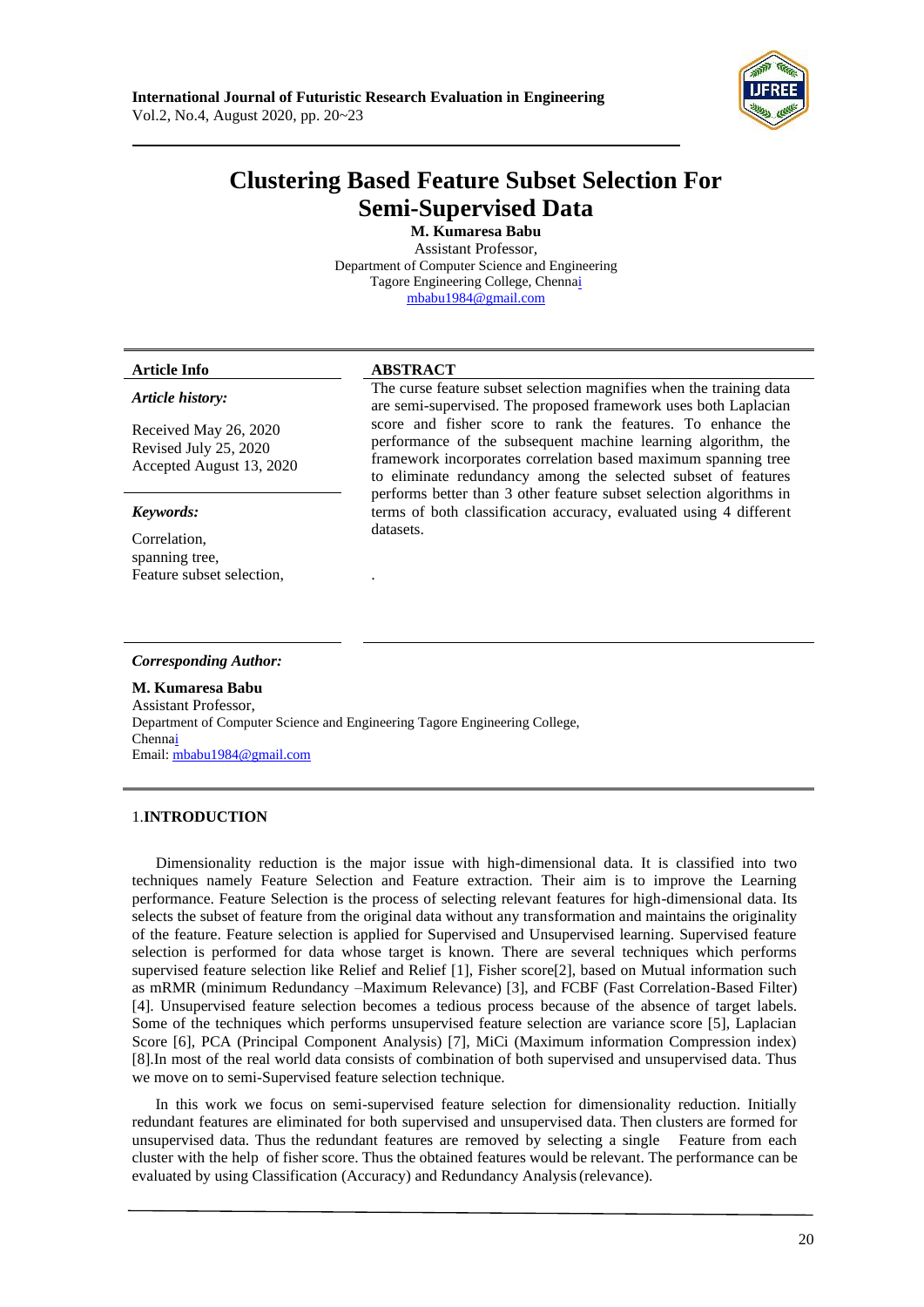

# **Clustering Based Feature Subset Selection For Semi-Supervised Data**

**M. Kumaresa Babu** Assistant Professor, Department of Computer Science and Engineering Tagore Engineering College, Chenn[ai](mailto:mbabu1984@gmail.com) [mbabu1984@gmail.com](mailto:mbabu1984@gmail.com)

## **Article Info ABSTRACT**

# *Article history:*

Received May 26, 2020 Revised July 25, 2020 Accepted August 13, 2020

## *Keywords:*

Correlation, spanning tree, Feature subset selection,

The curse feature subset selection magnifies when the training data are semi-supervised. The proposed framework uses both Laplacian score and fisher score to rank the features. To enhance the performance of the subsequent machine learning algorithm, the framework incorporates correlation based maximum spanning tree to eliminate redundancy among the selected subset of features performs better than 3 other feature subset selection algorithms in terms of both classification accuracy, evaluated using 4 different datasets.

#### *Corresponding Author:*

**M. Kumaresa Babu** Assistant Professor, Department of Computer Science and Engineering Tagore Engineering College, Chenn[ai](mailto:mbabu1984@gmail.com) Email[: mbabu1984@gmail.com](mailto:mbabu1984@gmail.com)

.

# 1.**INTRODUCTION**

Dimensionality reduction is the major issue with high-dimensional data. It is classified into two techniques namely Feature Selection and Feature extraction. Their aim is to improve the Learning performance. Feature Selection is the process of selecting relevant features for high-dimensional data. Its selects the subset of feature from the original data without any transformation and maintains the originality of the feature. Feature selection is applied for Supervised and Unsupervised learning. Supervised feature selection is performed for data whose target is known. There are several techniques which performs supervised feature selection like Relief and Relief [1], Fisher score[2], based on Mutual information such as mRMR (minimum Redundancy –Maximum Relevance) [3], and FCBF (Fast Correlation-Based Filter) [4]. Unsupervised feature selection becomes a tedious process because of the absence of target labels. Some of the techniques which performs unsupervised feature selection are variance score [5], Laplacian Score [6], PCA (Principal Component Analysis) [7], MiCi (Maximum information Compression index) [8].In most of the real world data consists of combination of both supervised and unsupervised data. Thus we move on to semi-Supervised feature selection technique.

In this work we focus on semi-supervised feature selection for dimensionality reduction. Initially redundant features are eliminated for both supervised and unsupervised data. Then clusters are formed for unsupervised data. Thus the redundant features are removed by selecting a single Feature from each cluster with the help of fisher score. Thus the obtained features would be relevant. The performance can be evaluated by using Classification (Accuracy) and Redundancy Analysis(relevance).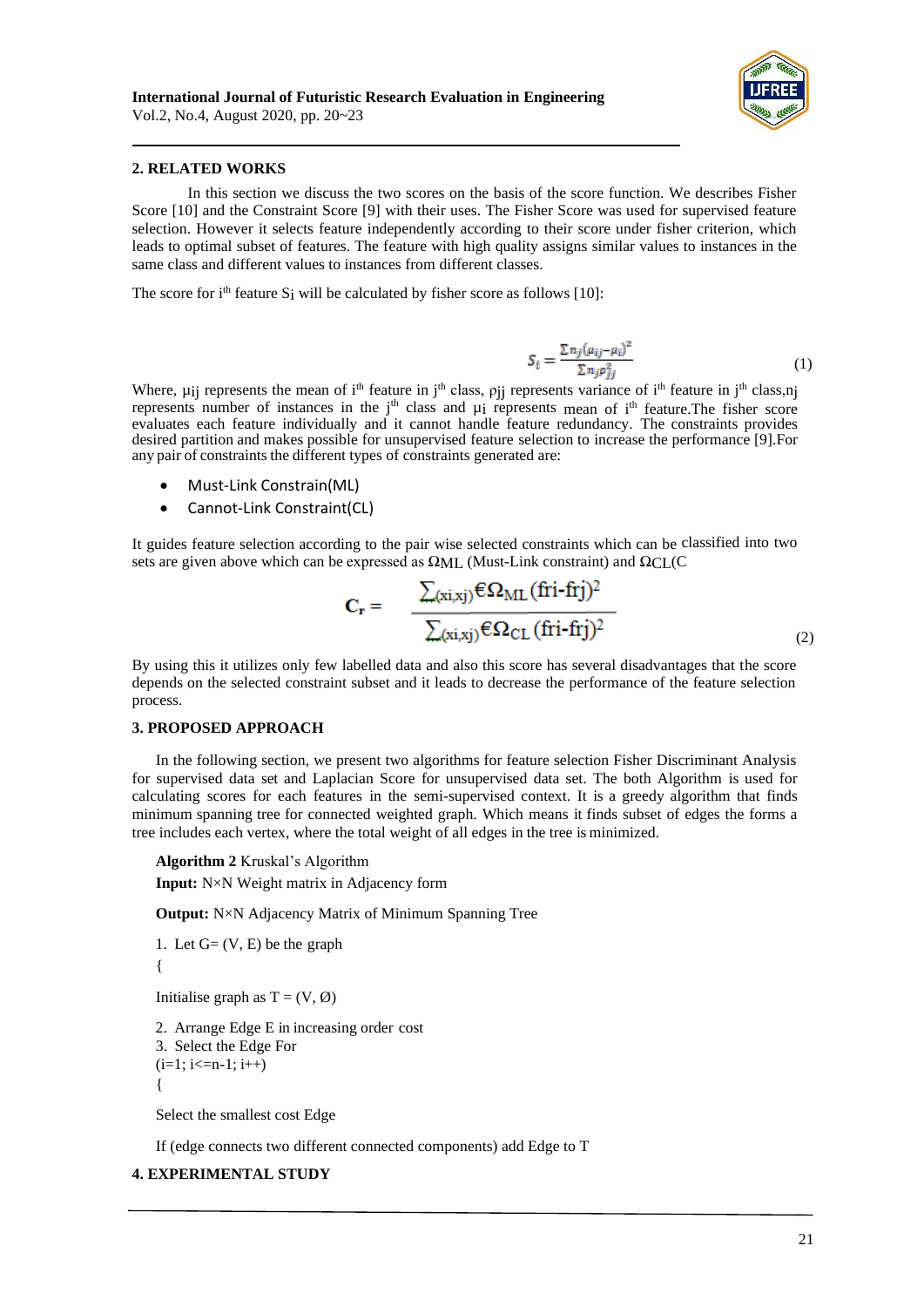

#### **2. RELATED WORKS**

In this section we discuss the two scores on the basis of the score function. We describes Fisher Score [10] and the Constraint Score [9] with their uses. The Fisher Score was used for supervised feature selection. However it selects feature independently according to their score under fisher criterion, which leads to optimal subset of features. The feature with high quality assigns similar values to instances in the same class and different values to instances from different classes.

The score for  $i<sup>th</sup>$  feature S<sub>i</sub> will be calculated by fisher score as follows [10]:

$$
S_i = \frac{\sum n_j (\mu_{ij} - \mu_i)^2}{\sum n_j \rho_{ij}^2} \tag{1}
$$

Where,  $\mu_{ij}$  represents the mean of i<sup>th</sup> feature in j<sup>th</sup> class,  $\rho_{jj}$  represents variance of i<sup>th</sup> feature in j<sup>th</sup> class,nj represents number of instances in the j<sup>th</sup> class and  $\mu$ i represents mean of i<sup>th</sup> feature. The fisher score evaluates each feature individually and it cannot handle feature redundancy. The constraints provides desired partition and makes possible for unsupervised feature selection to increase the performance [9].For any pair of constraints the different types of constraints generated are:

- Must-Link Constrain(ML)
- Cannot-Link Constraint(CL)

It guides feature selection according to the pair wise selected constraints which can be classified into two sets are given above which can be expressed as  $\Omega_{\rm{MI}}$ . (Must-Link constraint) and  $\Omega_{\rm{CI}}$  (C

$$
C_{r} = \frac{\sum_{(xi,xj)} \epsilon \Omega_{ML} (fri-fij)^{2}}{\sum_{(xi,xj)} \epsilon \Omega_{CL} (fri-fij)^{2}}
$$
\n(2)

By using this it utilizes only few labelled data and also this score has several disadvantages that the score depends on the selected constraint subset and it leads to decrease the performance of the feature selection process.

#### **3. PROPOSED APPROACH**

In the following section, we present two algorithms for feature selection Fisher Discriminant Analysis for supervised data set and Laplacian Score for unsupervised data set. The both Algorithm is used for calculating scores for each features in the semi-supervised context. It is a greedy algorithm that finds minimum spanning tree for connected weighted graph. Which means it finds subset of edges the forms a tree includes each vertex, where the total weight of all edges in the tree is minimized.

**Algorithm 2** Kruskal's Algorithm **Input:** N×N Weight matrix in Adjacency form

**Output:** N×N Adjacency Matrix of Minimum Spanning Tree

1. Let  $G = (V, E)$  be the graph {

Initialise graph as  $T = (V, \emptyset)$ 

2. Arrange Edge E in increasing order cost

3. Select the Edge For

 $(i=1; i<=n-1; i++)$ 

{

Select the smallest cost Edge

If (edge connects two different connected components) add Edge to T

# **4. EXPERIMENTAL STUDY**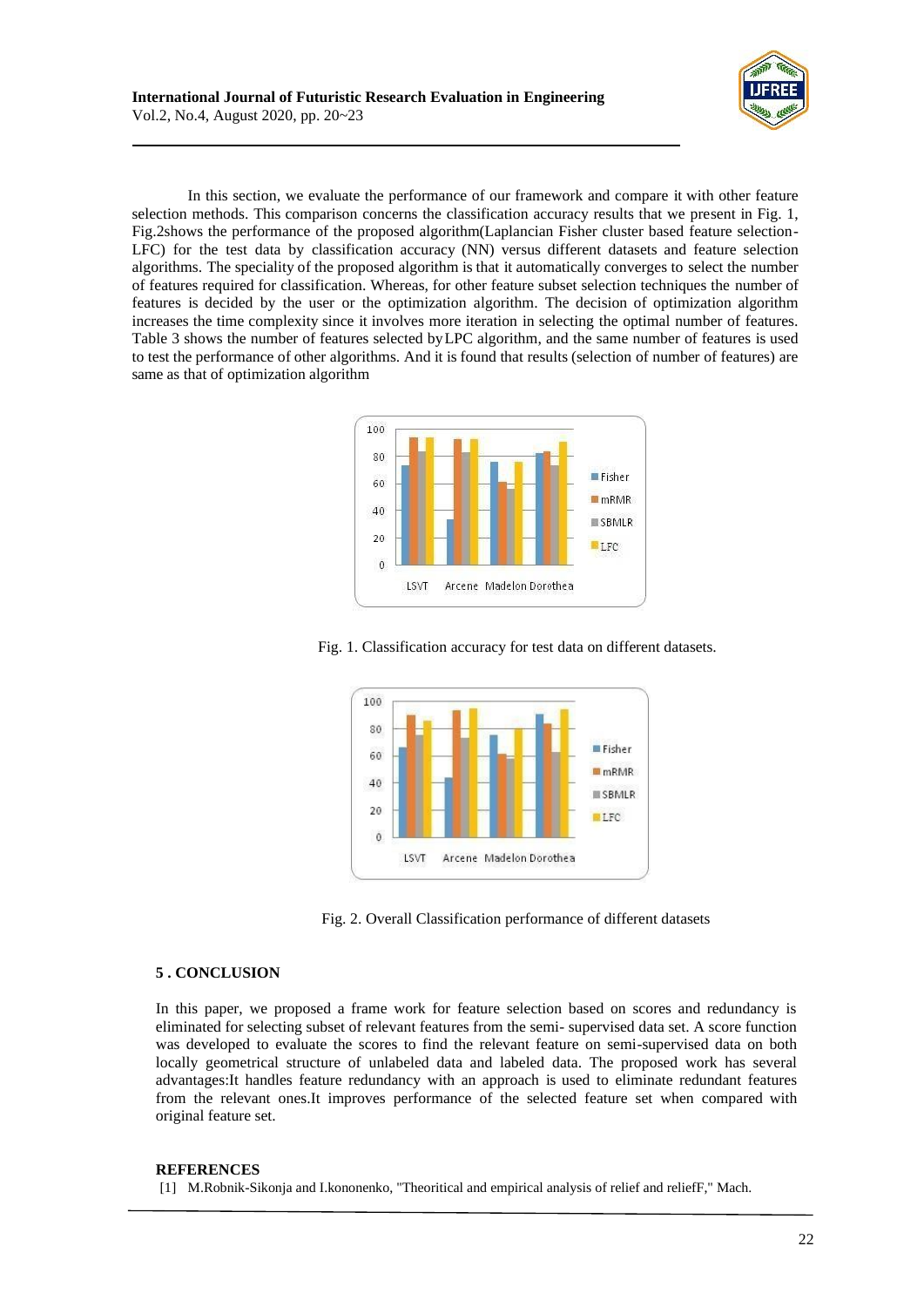In this section, we evaluate the performance of our framework and compare it with other feature selection methods. This comparison concerns the classification accuracy results that we present in Fig. 1, Fig.2shows the performance of the proposed algorithm(Laplancian Fisher cluster based feature selection-LFC) for the test data by classification accuracy (NN) versus different datasets and feature selection algorithms. The speciality of the proposed algorithm is that it automatically converges to select the number of features required for classification. Whereas, for other feature subset selection techniques the number of features is decided by the user or the optimization algorithm. The decision of optimization algorithm increases the time complexity since it involves more iteration in selecting the optimal number of features. Table 3 shows the number of features selected byLPC algorithm, and the same number of features is used to test the performance of other algorithms. And it is found that results (selection of number of features) are same as that of optimization algorithm



Fig. 1. Classification accuracy for test data on different datasets.



Fig. 2. Overall Classification performance of different datasets

## **5 . CONCLUSION**

In this paper, we proposed a frame work for feature selection based on scores and redundancy is eliminated for selecting subset of relevant features from the semi- supervised data set. A score function was developed to evaluate the scores to find the relevant feature on semi-supervised data on both locally geometrical structure of unlabeled data and labeled data. The proposed work has several advantages:It handles feature redundancy with an approach is used to eliminate redundant features from the relevant ones.It improves performance of the selected feature set when compared with original feature set.

#### **REFERENCES**

[1] M.Robnik-Sikonja and I.kononenko, "Theoritical and empirical analysis of relief and reliefF," Mach.